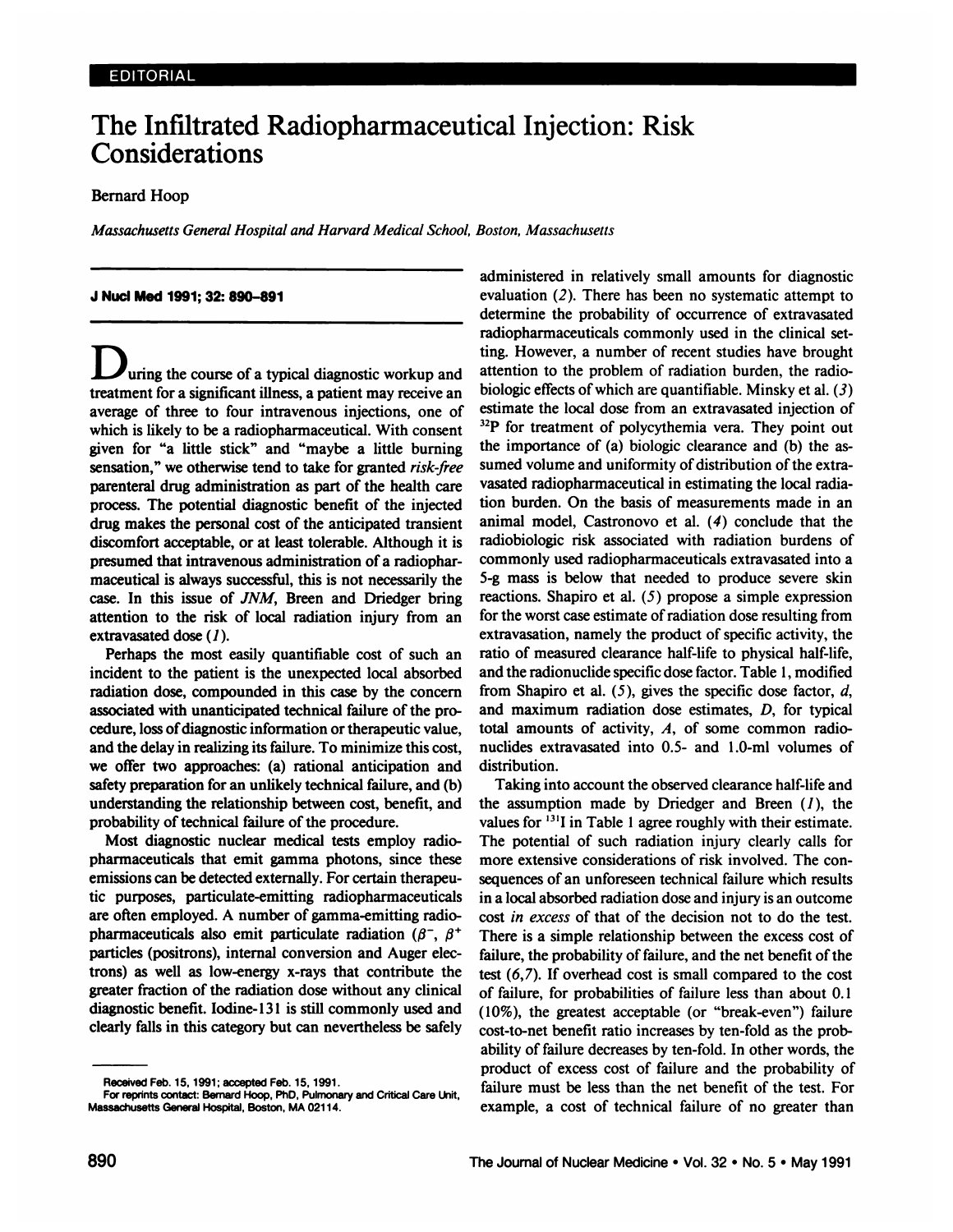# **The Inifitrated Radiopharmaceutical Injection: Risk Considerations**

# Bernard Hoop

*Massachusetts GeneralHospital and Harvard Medical School, Boston, Massachusetts*

#### **J NuciMed 1991;32:890—891**

uring the course of a typical diagnostic workup and treatment for a significant illness, a patient may receive an average of three to four intravenous injections, one of which is likely to be a radiopharmaceutical. With consent given for "a little stick" and "maybe a little burning sensation," we otherwise tend to take for granted risk-free parenteral drug administration as part of the health care process. The potential diagnostic benefit of the injected drug makes the personal cost of the anticipated transient discomfort acceptable, or at least tolerable. Although it is presumed that intravenous administration of a radiophar maceutical is always successful, this is not necessarily the case. In this issue of JNM, Breen and Driedger bring attention to the risk of local radiation injury from an extravasated dose (1).

Perhaps the most easily quantifiable cost of such an incident to the patient is the unexpected local absorbed radiation dose, compounded in this case by the concern associated with unanticipated technical failure of the pro cedure, loss of diagnostic information or therapeutic value, and the delay in realizing its failure. To minimize this cost, we offer two approaches: (a) rational anticipation and safety preparation for an unlikely technical failure, and (b) understanding the relationship between cost, benefit, and probability of technical failure of the procedure.

Most diagnostic nuclear medical tests employ radio pharmaceuticals that emit gamma photons, since these emissions can be detected externally. For certain therapeu tic purposes, particulate-emitting radiopharmaceuticals are often employed. A number of gamma-emitting radio pharmaceuticals also emit particulate radiation ( $\beta^-$ ,  $\beta^+$ particles (positrons), internal conversion and Auger elec trons) as well as low-energy x-rays that contribute the greater fraction of the radiation dose without any clinical diagnostic benefit. Iodine-13l is still commonly used and clearly falls in this category but can nevertheless be safely administered in relatively small amounts for diagnostic evaluation (2). There has been no systematic attempt to determine the probability of occurrence of extravasated radiopharmaceuticals commonly used in the clinical set ting. However, a number of recent studies have brought attention to the problem of radiation burden, the radio biologic effects of which are quantifiable. Minsky et al.  $(3)$ estimate the local dose from an extravasated injection of  $32P$  for treatment of polycythemia vera. They point out the importance of (a) biologic clearance and (b) the as sumed volume and uniformity of distribution of the extravasated radiopharmaceutical in estimating the local radia tion burden. On the basis of measurements made in an animal model, Castronovo et al. (4) conclude that the radiobiologic risk associated with radiation burdens of commonly used radiopharmaceuticals extravasated into a 5-g mass is below that needed to produce severe skin reactions. Shapiro et al. (5) propose a simple expression for the worst case estimate of radiation dose resulting from extravasation, namely the product of specific activity, the ratio of measured clearance half-life to physical half-life, and the radionuclide specific dose factor. Table 1, modified from Shapiro et al.  $(5)$ , gives the specific dose factor, d, and maximum radiation dose estimates, D, for typical total amounts of activity,  $A$ , of some common radionuclides extravasated into 0.5- and l.0-ml volumes of distribution.

Taking into account the observed clearance half-life and the assumption made by Driedger and Breen  $(1)$ , the values for  $^{131}$ I in Table 1 agree roughly with their estimate. The potential of such radiation injury clearly calls for more extensive considerations of risk involved. The con sequences of an unforeseen technical failure which results in a local absorbed radiation dose and injury is an outcome cost in excess of that of the decision not to do the test. There is a simple relationship between the excess cost of failure, the probability of failure, and the net benefit of the test  $(6, 7)$ . If overhead cost is small compared to the cost of failure, for probabilities of failure less than about 0.1  $(10\%)$ , the greatest acceptable (or "break-even") failure cost-to-net benefit ratio increases by ten-fold as the prob ability of failure decreases by ten-fold. In other words, the product of excess cost of failure and the probability of failure must be less than the net benefit of the test. For example, a cost of technical failure of no greater than

Received Feb. 15, 1991; accepted Feb. 15, 1991.

For reptints contact: Bernard Hoop, PhD, Pulmonary and Critical Care Lht, Massachusetts General Hospital, Boston, MA 02114.